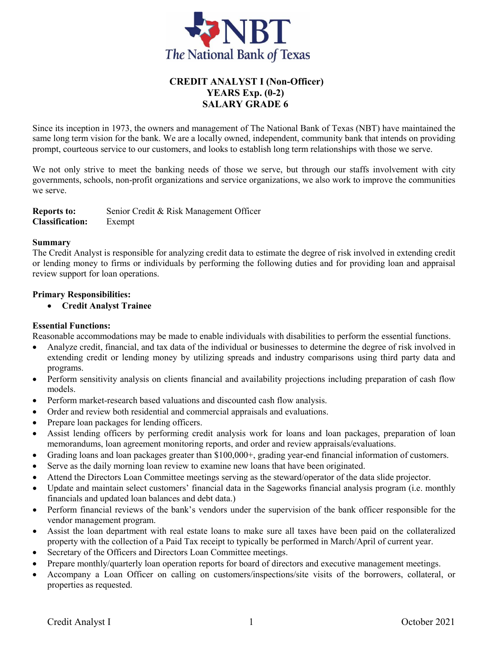

# **CREDIT ANALYST I (Non-Officer) YEARS Exp. (0-2) SALARY GRADE 6**

Since its inception in 1973, the owners and management of The National Bank of Texas (NBT) have maintained the same long term vision for the bank. We are a locally owned, independent, community bank that intends on providing prompt, courteous service to our customers, and looks to establish long term relationships with those we serve.

We not only strive to meet the banking needs of those we serve, but through our staffs involvement with city governments, schools, non-profit organizations and service organizations, we also work to improve the communities we serve.

**Reports to:** Senior Credit & Risk Management Officer **Classification:** Exempt

#### **Summary**

The Credit Analyst is responsible for analyzing credit data to estimate the degree of risk involved in extending credit or lending money to firms or individuals by performing the following duties and for providing loan and appraisal review support for loan operations.

#### **Primary Responsibilities:**

**Credit Analyst Trainee** 

#### **Essential Functions:**

Reasonable accommodations may be made to enable individuals with disabilities to perform the essential functions.

- Analyze credit, financial, and tax data of the individual or businesses to determine the degree of risk involved in extending credit or lending money by utilizing spreads and industry comparisons using third party data and programs.
- Perform sensitivity analysis on clients financial and availability projections including preparation of cash flow models.
- Perform market-research based valuations and discounted cash flow analysis.
- Order and review both residential and commercial appraisals and evaluations.
- Prepare loan packages for lending officers.
- Assist lending officers by performing credit analysis work for loans and loan packages, preparation of loan memorandums, loan agreement monitoring reports, and order and review appraisals/evaluations.
- Grading loans and loan packages greater than \$100,000+, grading year-end financial information of customers.
- Serve as the daily morning loan review to examine new loans that have been originated.
- Attend the Directors Loan Committee meetings serving as the steward/operator of the data slide projector.
- Update and maintain select customers' financial data in the Sageworks financial analysis program (i.e. monthly financials and updated loan balances and debt data.)
- Perform financial reviews of the bank's vendors under the supervision of the bank officer responsible for the vendor management program.
- Assist the loan department with real estate loans to make sure all taxes have been paid on the collateralized property with the collection of a Paid Tax receipt to typically be performed in March/April of current year.
- Secretary of the Officers and Directors Loan Committee meetings.
- Prepare monthly/quarterly loan operation reports for board of directors and executive management meetings.
- Accompany a Loan Officer on calling on customers/inspections/site visits of the borrowers, collateral, or properties as requested.